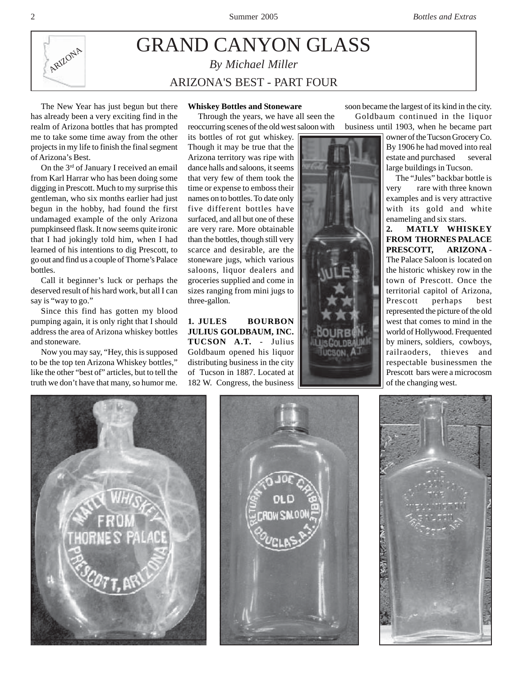

## GRAND CANYON GLASS *By Michael Miller* ARIZONA'S BEST - PART FOUR

The New Year has just begun but there has already been a very exciting find in the realm of Arizona bottles that has prompted me to take some time away from the other projects in my life to finish the final segment of Arizona's Best.

On the 3rd of January I received an email from Karl Harrar who has been doing some digging in Prescott. Much to my surprise this gentleman, who six months earlier had just begun in the hobby, had found the first undamaged example of the only Arizona pumpkinseed flask. It now seems quite ironic that I had jokingly told him, when I had learned of his intentions to dig Prescott, to go out and find us a couple of Thorne's Palace bottles.

Call it beginner's luck or perhaps the deserved result of his hard work, but all I can say is "way to go."

Since this find has gotten my blood pumping again, it is only right that I should address the area of Arizona whiskey bottles and stoneware.

Now you may say, "Hey, this is supposed to be the top ten Arizona Whiskey bottles," like the other "best of" articles, but to tell the truth we don't have that many, so humor me.

## **Whiskey Bottles and Stoneware**

Through the years, we have all seen the reoccurring scenes of the old west saloon with

its bottles of rot gut whiskey. Though it may be true that the Arizona territory was ripe with dance halls and saloons, it seems that very few of them took the time or expense to emboss their names on to bottles. To date only five different bottles have surfaced, and all but one of these are very rare. More obtainable than the bottles, though still very scarce and desirable, are the stoneware jugs, which various saloons, liquor dealers and groceries supplied and come in sizes ranging from mini jugs to three-gallon.

**1. JULES BOURBON JULIUS GOLDBAUM, INC. TUCSON A.T.** - Julius Goldbaum opened his liquor distributing business in the city of Tucson in 1887. Located at 182 W. Congress, the business soon became the largest of its kind in the city. Goldbaum continued in the liquor business until 1903, when he became part

> owner of the Tucson Grocery Co. By 1906 he had moved into real estate and purchased several large buildings in Tucson.

> The "Jules" backbar bottle is very rare with three known examples and is very attractive with its gold and white enameling and six stars.

> **2. MATLY WHISKEY FROM THORNES PALACE PRESCOTT, ARIZONA** - The Palace Saloon is located on the historic whiskey row in the town of Prescott. Once the territorial capitol of Arizona, Prescott perhaps best represented the picture of the old west that comes to mind in the world of Hollywood. Frequented by miners, soldiers, cowboys, railraoders, thieves and respectable businessmen the Prescott bars were a microcosm of the changing west.





UCSON, A.